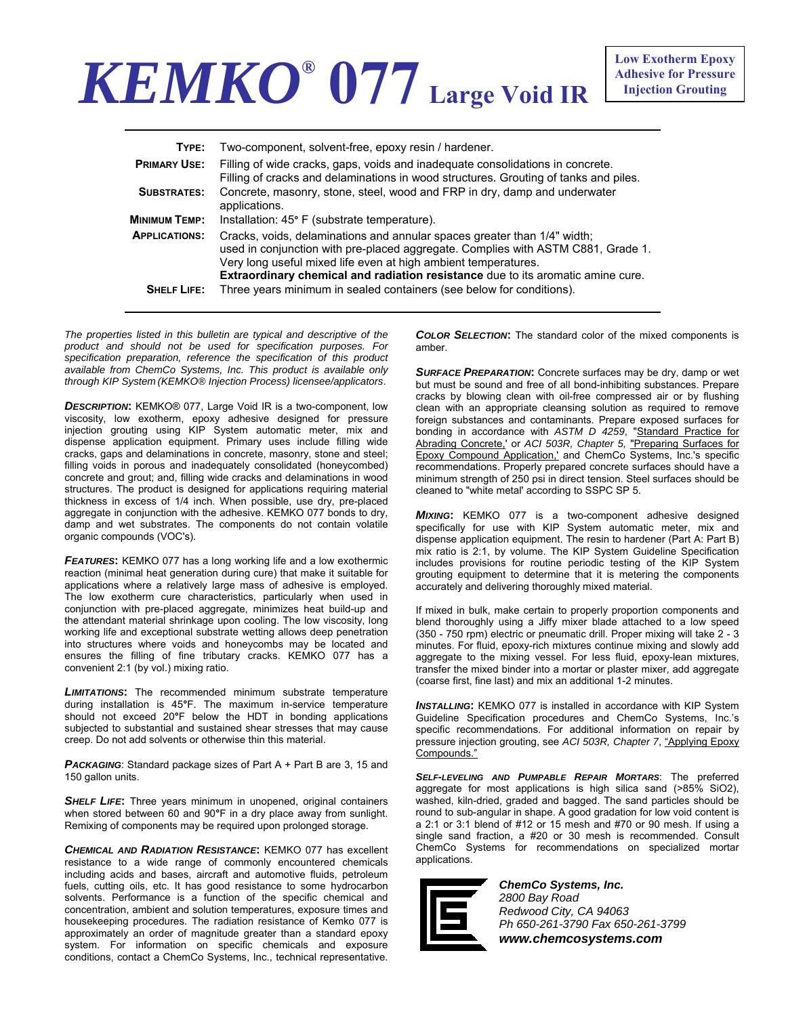## *KEMKO®* **077 Large Void IR**

| TYPE:                | Two-component, solvent-free, epoxy resin / hardener.                                                                                                                                                                                                                                                              |  |  |  |
|----------------------|-------------------------------------------------------------------------------------------------------------------------------------------------------------------------------------------------------------------------------------------------------------------------------------------------------------------|--|--|--|
| <b>PRIMARY USE:</b>  | Filling of wide cracks, gaps, voids and inadequate consolidations in concrete.<br>Filling of cracks and delaminations in wood structures. Grouting of tanks and piles.                                                                                                                                            |  |  |  |
| <b>SUBSTRATES:</b>   | Concrete, masonry, stone, steel, wood and FRP in dry, damp and underwater<br>applications.                                                                                                                                                                                                                        |  |  |  |
| <b>MINIMUM TEMP:</b> | Installation: 45° F (substrate temperature).                                                                                                                                                                                                                                                                      |  |  |  |
| <b>APPLICATIONS:</b> | Cracks, voids, delaminations and annular spaces greater than 1/4" width;<br>used in conjunction with pre-placed aggregate. Complies with ASTM C881, Grade 1.<br>Very long useful mixed life even at high ambient temperatures.<br>Extraordinary chemical and radiation resistance due to its aromatic amine cure. |  |  |  |
| <b>SHELF LIFE:</b>   | Three years minimum in sealed containers (see below for conditions).                                                                                                                                                                                                                                              |  |  |  |

*The properties listed in this bulletin are typical and descriptive of the product and should not be used for specification purposes. For specification preparation, reference the specification of this product available from ChemCo Systems, Inc. This product is available only through KIP System (KEMKO® Injection Process) licensee/applicators*.

*DESCRIPTION***:** KEMKO® 077, Large Void IR is a two-component, low viscosity, low exotherm, epoxy adhesive designed for pressure injection grouting using KIP System automatic meter, mix and dispense application equipment. Primary uses include filling wide cracks, gaps and delaminations in concrete, masonry, stone and steel; filling voids in porous and inadequately consolidated (honeycombed) concrete and grout; and, filling wide cracks and delaminations in wood structures. The product is designed for applications requiring material thickness in excess of 1/4 inch. When possible, use dry, pre-placed aggregate in conjunction with the adhesive. KEMKO 077 bonds to dry, damp and wet substrates. The components do not contain volatile organic compounds (VOC's).

**FEATURES:** KEMKO 077 has a long working life and a low exothermic reaction (minimal heat generation during cure) that make it suitable for applications where a relatively large mass of adhesive is employed. The low exotherm cure characteristics, particularly when used in conjunction with pre-placed aggregate, minimizes heat build-up and the attendant material shrinkage upon cooling. The low viscosity, long working life and exceptional substrate wetting allows deep penetration into structures where voids and honeycombs may be located and ensures the filling of fine tributary cracks. KEMKO 077 has a convenient 2:1 (by vol.) mixing ratio.

*LIMITATIONS***:** The recommended minimum substrate temperature during installation is 45**°**F. The maximum in-service temperature should not exceed 20**°**F below the HDT in bonding applications subjected to substantial and sustained shear stresses that may cause creep. Do not add solvents or otherwise thin this material.

**PACKAGING:** Standard package sizes of Part A + Part B are 3, 15 and 150 gallon units.

**SHELF LIFE:** Three years minimum in unopened, original containers when stored between 60 and 90**°**F in a dry place away from sunlight. Remixing of components may be required upon prolonged storage.

*CHEMICAL AND RADIATION RESISTANCE***:** KEMKO 077 has excellent resistance to a wide range of commonly encountered chemicals including acids and bases, aircraft and automotive fluids, petroleum fuels, cutting oils, etc. It has good resistance to some hydrocarbon solvents. Performance is a function of the specific chemical and concentration, ambient and solution temperatures, exposure times and housekeeping procedures. The radiation resistance of Kemko 077 is approximately an order of magnitude greater than a standard epoxy system. For information on specific chemicals and exposure conditions, contact a ChemCo Systems, Inc., technical representative. *COLOR SELECTION***:** The standard color of the mixed components is amber.

*SURFACE PREPARATION***:** Concrete surfaces may be dry, damp or wet but must be sound and free of all bond-inhibiting substances. Prepare cracks by blowing clean with oil-free compressed air or by flushing clean with an appropriate cleansing solution as required to remove foreign substances and contaminants. Prepare exposed surfaces for bonding in accordance with *ASTM D 4259*, "Standard Practice for Abrading Concrete,' or *ACI 503R, Chapter 5,* "Preparing Surfaces for Epoxy Compound Application,' and ChemCo Systems, Inc.'s specific recommendations. Properly prepared concrete surfaces should have a minimum strength of 250 psi in direct tension. Steel surfaces should be cleaned to "white metal' according to SSPC SP 5.

*MIXING***:** KEMKO 077 is a two-component adhesive designed specifically for use with KIP System automatic meter, mix and dispense application equipment. The resin to hardener (Part A: Part B) mix ratio is 2:1, by volume. The KIP System Guideline Specification includes provisions for routine periodic testing of the KIP System grouting equipment to determine that it is metering the components accurately and delivering thoroughly mixed material.

If mixed in bulk, make certain to properly proportion components and blend thoroughly using a Jiffy mixer blade attached to a low speed (350 - 750 rpm) electric or pneumatic drill. Proper mixing will take 2 - 3 minutes. For fluid, epoxy-rich mixtures continue mixing and slowly add aggregate to the mixing vessel. For less fluid, epoxy-lean mixtures, transfer the mixed binder into a mortar or plaster mixer, add aggregate (coarse first, fine last) and mix an additional 1-2 minutes.

**INSTALLING:** KEMKO 077 is installed in accordance with KIP System Guideline Specification procedures and ChemCo Systems, Inc.'s specific recommendations. For additional information on repair by pressure injection grouting, see *ACI 503R, Chapter 7*, "Applying Epoxy Compounds."

*SELF-LEVELING AND PUMPABLE REPAIR MORTARS*: The preferred aggregate for most applications is high silica sand (>85% SiO2), washed, kiln-dried, graded and bagged. The sand particles should be round to sub-angular in shape. A good gradation for low void content is a 2:1 or 3:1 blend of #12 or 15 mesh and #70 or 90 mesh. If using a single sand fraction, a #20 or 30 mesh is recommended. Consult ChemCo Systems for recommendations on specialized mortar applications.



*ChemCo Systems, Inc. 2800 Bay Road Redwood City, CA 94063 Ph 650-261-3790 Fax 650-261-3799 www.chemcosystems.com*